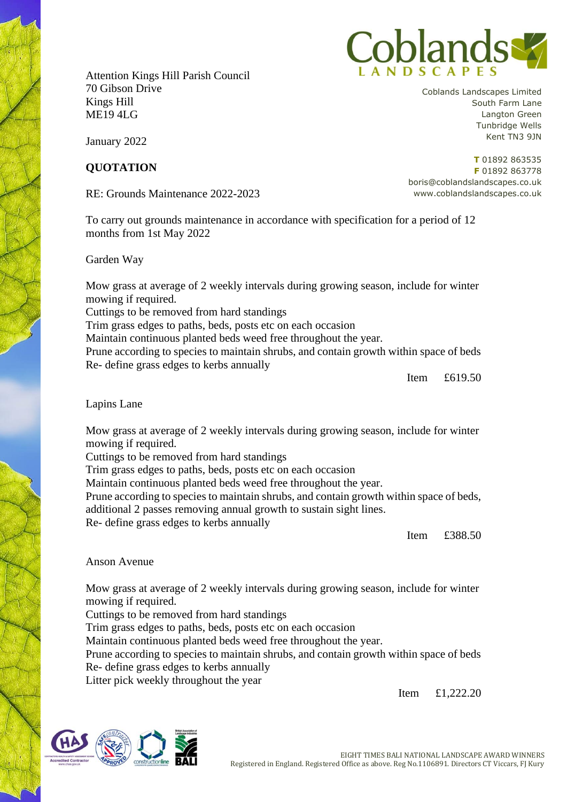Attention Kings Hill Parish Council 70 Gibson Drive Kings Hill ME19 4LG



January 2022

## **QUOTATION**

RE: Grounds Maintenance 2022-2023

To carry out grounds maintenance in accordance with specification for a period of 12 months from 1st May 2022

Garden Way

Mow grass at average of 2 weekly intervals during growing season, include for winter mowing if required.

Cuttings to be removed from hard standings

Trim grass edges to paths, beds, posts etc on each occasion

Maintain continuous planted beds weed free throughout the year.

Prune according to species to maintain shrubs, and contain growth within space of beds Re- define grass edges to kerbs annually

Item £619.50

Lapins Lane

Mow grass at average of 2 weekly intervals during growing season, include for winter mowing if required.

Cuttings to be removed from hard standings

Trim grass edges to paths, beds, posts etc on each occasion

Maintain continuous planted beds weed free throughout the year.

Prune according to species to maintain shrubs, and contain growth within space of beds, additional 2 passes removing annual growth to sustain sight lines.

Re- define grass edges to kerbs annually

Item £388.50

## Anson Avenue

Mow grass at average of 2 weekly intervals during growing season, include for winter mowing if required.

Cuttings to be removed from hard standings

Trim grass edges to paths, beds, posts etc on each occasion

Maintain continuous planted beds weed free throughout the year.

Prune according to species to maintain shrubs, and contain growth within space of beds Re- define grass edges to kerbs annually

Litter pick weekly throughout the year

Item £1,222.20



Coblands Landscapes Limited South Farm Lane Langton Green Tunbridge Wells Kent TN3 9JN

**T** 01892 863535 **F** 01892 863778 boris@coblandslandscapes.co.uk www.coblandslandscapes.co.uk